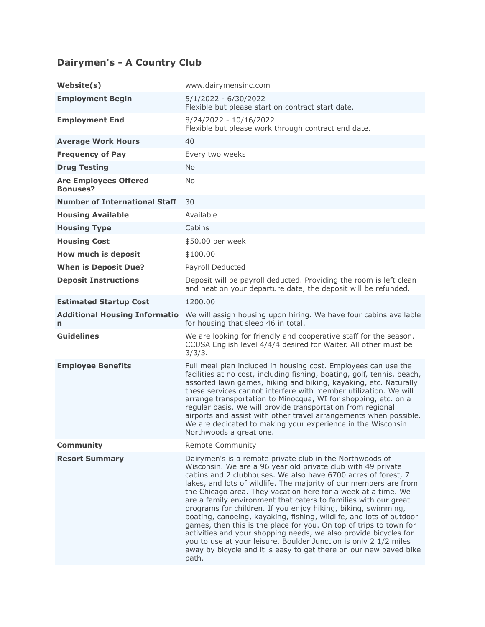## **Dairymen's - A Country Club**

| Website(s)                                      | www.dairymensinc.com                                                                                                                                                                                                                                                                                                                                                                                                                                                                                                                                                                                                                                                                                                                                                                                                                   |
|-------------------------------------------------|----------------------------------------------------------------------------------------------------------------------------------------------------------------------------------------------------------------------------------------------------------------------------------------------------------------------------------------------------------------------------------------------------------------------------------------------------------------------------------------------------------------------------------------------------------------------------------------------------------------------------------------------------------------------------------------------------------------------------------------------------------------------------------------------------------------------------------------|
| <b>Employment Begin</b>                         | 5/1/2022 - 6/30/2022<br>Flexible but please start on contract start date.                                                                                                                                                                                                                                                                                                                                                                                                                                                                                                                                                                                                                                                                                                                                                              |
| <b>Employment End</b>                           | 8/24/2022 - 10/16/2022<br>Flexible but please work through contract end date.                                                                                                                                                                                                                                                                                                                                                                                                                                                                                                                                                                                                                                                                                                                                                          |
| <b>Average Work Hours</b>                       | 40                                                                                                                                                                                                                                                                                                                                                                                                                                                                                                                                                                                                                                                                                                                                                                                                                                     |
| <b>Frequency of Pay</b>                         | Every two weeks                                                                                                                                                                                                                                                                                                                                                                                                                                                                                                                                                                                                                                                                                                                                                                                                                        |
| <b>Drug Testing</b>                             | <b>No</b>                                                                                                                                                                                                                                                                                                                                                                                                                                                                                                                                                                                                                                                                                                                                                                                                                              |
| <b>Are Employees Offered</b><br><b>Bonuses?</b> | <b>No</b>                                                                                                                                                                                                                                                                                                                                                                                                                                                                                                                                                                                                                                                                                                                                                                                                                              |
| <b>Number of International Staff</b>            | 30                                                                                                                                                                                                                                                                                                                                                                                                                                                                                                                                                                                                                                                                                                                                                                                                                                     |
| <b>Housing Available</b>                        | Available                                                                                                                                                                                                                                                                                                                                                                                                                                                                                                                                                                                                                                                                                                                                                                                                                              |
| <b>Housing Type</b>                             | Cabins                                                                                                                                                                                                                                                                                                                                                                                                                                                                                                                                                                                                                                                                                                                                                                                                                                 |
| <b>Housing Cost</b>                             | \$50.00 per week                                                                                                                                                                                                                                                                                                                                                                                                                                                                                                                                                                                                                                                                                                                                                                                                                       |
| How much is deposit                             | \$100.00                                                                                                                                                                                                                                                                                                                                                                                                                                                                                                                                                                                                                                                                                                                                                                                                                               |
| <b>When is Deposit Due?</b>                     | Payroll Deducted                                                                                                                                                                                                                                                                                                                                                                                                                                                                                                                                                                                                                                                                                                                                                                                                                       |
| <b>Deposit Instructions</b>                     | Deposit will be payroll deducted. Providing the room is left clean<br>and neat on your departure date, the deposit will be refunded.                                                                                                                                                                                                                                                                                                                                                                                                                                                                                                                                                                                                                                                                                                   |
| <b>Estimated Startup Cost</b>                   | 1200.00                                                                                                                                                                                                                                                                                                                                                                                                                                                                                                                                                                                                                                                                                                                                                                                                                                |
| <b>Additional Housing Informatio</b><br>n       | We will assign housing upon hiring. We have four cabins available<br>for housing that sleep 46 in total.                                                                                                                                                                                                                                                                                                                                                                                                                                                                                                                                                                                                                                                                                                                               |
| <b>Guidelines</b>                               | We are looking for friendly and cooperative staff for the season.<br>CCUSA English level 4/4/4 desired for Waiter. All other must be<br>3/3/3.                                                                                                                                                                                                                                                                                                                                                                                                                                                                                                                                                                                                                                                                                         |
| <b>Employee Benefits</b>                        | Full meal plan included in housing cost. Employees can use the<br>facilities at no cost, including fishing, boating, golf, tennis, beach,<br>assorted lawn games, hiking and biking, kayaking, etc. Naturally<br>these services cannot interfere with member utilization. We will<br>arrange transportation to Minocqua, WI for shopping, etc. on a<br>regular basis. We will provide transportation from regional<br>airports and assist with other travel arrangements when possible.<br>We are dedicated to making your experience in the Wisconsin<br>Northwoods a great one.                                                                                                                                                                                                                                                      |
| <b>Community</b>                                | Remote Community                                                                                                                                                                                                                                                                                                                                                                                                                                                                                                                                                                                                                                                                                                                                                                                                                       |
| <b>Resort Summary</b>                           | Dairymen's is a remote private club in the Northwoods of<br>Wisconsin. We are a 96 year old private club with 49 private<br>cabins and 2 clubhouses. We also have 6700 acres of forest, 7<br>lakes, and lots of wildlife. The majority of our members are from<br>the Chicago area. They vacation here for a week at a time. We<br>are a family environment that caters to families with our great<br>programs for children. If you enjoy hiking, biking, swimming,<br>boating, canoeing, kayaking, fishing, wildlife, and lots of outdoor<br>games, then this is the place for you. On top of trips to town for<br>activities and your shopping needs, we also provide bicycles for<br>you to use at your leisure. Boulder Junction is only 2 1/2 miles<br>away by bicycle and it is easy to get there on our new paved bike<br>path. |